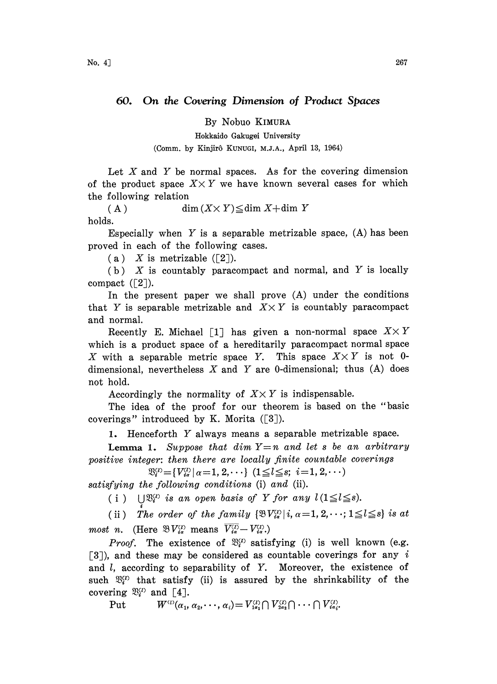By Nobuo KIMURA

Hokkaido Gakugei University (Comm. by Kinjir6 KUNUGI, M.J.A., April 13, 1964)

Let X and Y be normal spaces. As for the covering dimension of the product space  $X \times Y$  we have known several cases for which the following relation

(A)  $\dim (X \times Y) \leq \dim X + \dim Y$ holds.

Especially when  $Y$  is a separable metrizable space,  $(A)$  has been proved in each of the following eases.

(a) X is metrizable  $([2])$ .

 $(b)$  X is countably paracompact and normal, and Y is locally compact  $(\lceil 2 \rceil)$ .

In the present paper we shall prove (A) under the conditions that Y is separable metrizable and  $X \times Y$  is countably paracompact and normal.

Recently E. Michael [1] has given a non-normal space  $X \times Y$ which is a product space of a hereditarily paracompact normal space X with a separable metric space Y. This space  $X \times Y$  is not 0dimensional, nevertheless X and Y are 0-dimensional; thus  $(A)$  does not hold.

Accordingly the normality of  $X \times Y$  is indispensable.

The idea of the proof for our theorem is based on the "basic coverings" introduced by K. Morita  $(3)$ .

1. Henceforth Y always means <sup>a</sup> separable metrizable space.

**Lemma 1.** Suppose that dim  $Y=n$  and let s be an arbitrary positive integer: then there are locally finite countable coverings

 $\mathfrak{B}_{i}^{(i)} = \{V_{i\sigma}^{(i)} | \alpha = 1, 2, \cdots\}$  ( $1 \leq l \leq s; i = 1, 2, \cdots$ )

satisfying the following conditions (i) and (ii).

(i)  $\bigcup \mathfrak{B}_{i}^{(i)}$  is an open basis of Y for any  $l(1 \leq l \leq s)$ .

(ii) The order of the family  $\{\mathfrak{B}V_{i\alpha}^{(i)} | i, \alpha=1, 2, \cdots; 1 \leq l \leq s\}$  is at most n. (Here  $\mathfrak{B} V_{ia}^{(l)}$  means  $\overline{V_{ia}^{(l)}} - V_{ia}^{(l)}$ .)

*Proof.* The existence of  $\mathfrak{B}_{i}^{(i)}$  satisfying (i) is well known (e.g. [3]), and these may be considered as countable coverings for any i and  $l$ , according to separability of  $Y$ . Moreover, the existence of such  $\mathfrak{B}_{i}^{(i)}$  that satisfy (ii) is assured by the shrinkability of the covering  $\mathfrak{B}_{i}^{(2)}$  and [4].

Put 
$$
W^{(1)}(\alpha_1, \alpha_2, \cdots, \alpha_i) = V^{(2)}_{1\alpha_1} \cap V^{(1)}_{2\alpha_2} \cap \cdots \cap V^{(1)}_{4\alpha_i}
$$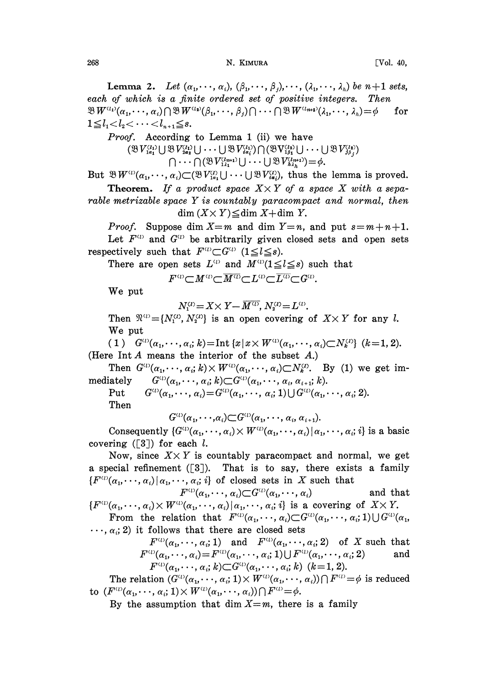Lemma 2. Let  $(\alpha_1, \dots, \alpha_i), (\beta_1, \dots, \beta_i), \dots, (\lambda_i, \dots, \lambda_i)$  be  $n+1$  sets, each of which is a finite ordered set of positive integers. Then  $\mathfrak{B} W^{(1)}(\alpha_1, \dots, \alpha_i) \bigcap \mathfrak{B} W^{(1)}(\beta_1, \dots, \beta_j) \bigcap \dots \bigcap \mathfrak{B} W^{(1)}(k_1, \dots, k_n) = \emptyset$  for  $1 \leq l_1 < l_2 < \cdots < l_{n+1} \leq s.$ 

*Proof.* According to Lemma 1 (ii) we have

 $(\mathfrak{B} V_{1a_1}^{(i_1)} \cup \mathfrak{B} V_{2a_2}^{(i_1)} \cup \cdots \cup \mathfrak{B} V_{ia_i}^{(i_1)} ) \cap (\mathfrak{B} V_{1\beta_1}^{(i_2)} \cup \cdots \cup \mathfrak{B} V_{\beta_\beta}^{(i_\beta)})$  $\bigcap \cdots \bigcap (\mathfrak{B} V_{1_{\lambda_1}}^{(l_{m+1})} \bigcup \cdots \bigcup \mathfrak{B} V_{\lambda_{\lambda_k}}^{(l_{m+1})} \big) = \phi.$ 

But  $\mathfrak{B}W^{(i)}(\alpha_1,\dots,\alpha_i)\subset (\mathfrak{B}V^{(i)}_{1\alpha_1}\cup\cdots\cup\mathfrak{B}V^{(i)}_{i\alpha_i}),$  thus the lemma is proved.

**Theorem.** If a product space  $X \times Y$  of a space X with a separable metrizable space  $Y$  is countably paracompact and normal, then  $\dim (X \times Y) \leq \dim X + \dim Y$ .

*Proof.* Suppose dim  $X=m$  and dim  $Y=n$ , and put  $s=m+n+1$ . Let  $F^{\scriptscriptstyle{(1)}}$  and  $G^{\scriptscriptstyle{(1)}}$  be arbitrarily given closed sets and open sets respectively such that  $F^{(i)} \subset G^{(i)}$  ( $1 \leq l \leq s$ ).

There are open sets  $L^{\text{(i)}}$  and  $M^{\text{(ii)}}(1 \leq l \leq s)$  such that<br>  $F^{\text{(i)}} \subset M^{\text{(i)}} \subset \overline{M^{\text{(i)}}} \subset L^{\text{(i)}} \subset \overline{L^{\text{(i)}}} \subset G^{\text{(i)}}$ .

We put

 $N_1^{(i)} = X \times Y - \overline{M^{(i)}}$ ,  $N_2^{(i)} = L^{(i)}$ ,<br>  $N_2^{(i)}$ } is an open covering Then  $\mathfrak{N}^{(i)} = \{N_1^{(i)}, N_2^{(i)}\}$  is an open covering of  $X \times Y$  for any *l*. We put

( 1)  $G^{(i)}(\alpha_1, \dots, \alpha_i; k) = \text{Int } \{x \mid x \times W^{(i)}(\alpha_1, \dots, \alpha_i) \subset N_k^{(i)}\}$   $(k = 1, 2)$ . (Here Int  $A$  means the interior of the subset  $A$ .)

Then  $G^{(i)}(\alpha_1, \dots, \alpha_i; k) \times W^{(i)}(\alpha_1, \dots, \alpha_i) \subset N_k^{(i)}$ . By (1) we get immediately  $G^{(i)}(\alpha_1, \dots, \alpha_i; k) \subset G^{(i)}(\alpha_1, \dots, \alpha_i, \alpha_{i+1}; k).$ 

Put  $G^{(i)}(\alpha_1,\cdots,\alpha_i)=G^{(i)}(\alpha_1,\cdots,\alpha_i; 1)\bigcup G^{(i)}(\alpha_1,\cdots,\alpha_i; 2).$ Then

 $G^{(i)}(\alpha_1,\cdots,\alpha_i) \subset G^{(i)}(\alpha_1,\cdots,\alpha_i,\alpha_{i+1}).$ 

Consequently  $\{G^{(i)}(\alpha_1, \dots, \alpha_i) \times W^{(i)}(\alpha_1, \dots, \alpha_i) | \alpha_1, \dots, \alpha_i, i\}$  is a basic covering ( $\lceil 3 \rceil$ ) for each *l*.

Now, since  $X \times Y$  is countably paracompact and normal, we get a special refinement  $(3)$ . That is to say, there exists a family  ${F^{(a)}(\alpha_1, \dots, \alpha_i) | \alpha_1, \dots, \alpha_i; i}$  of closed sets in X such that

$$
F^{(1)}(\alpha_1, \cdots, \alpha_i) \subset G^{(1)}(\alpha_1, \cdots, \alpha_i) \quad \text{and that}
$$
\n
$$
\{F^{(1)}(\alpha_1, \cdots, \alpha_i) \times W^{(1)}(\alpha_1, \cdots, \alpha_i) | \alpha_1, \cdots, \alpha_i; i \} \text{ is a covering of } X \times Y.
$$
\n
$$
\text{From the relation that } F^{(1)}(\alpha_1, \cdots, \alpha_i) \subset G^{(1)}(\alpha_1, \cdots, \alpha_i; 1) \cup G^{(1)}(\alpha_1, \cdots, \alpha_i; 1)
$$

 $\ldots$ ,  $\alpha_i$ ; 2) it follows that there are closed sets

 $F^{(i)}(\alpha_1, \dots, \alpha_i; 1)$  and  $F^{(i)}(\alpha_1, \dots, \alpha_i; 2)$  of X such that  $F^{(i)}(\alpha_1, \dots, \alpha_i) = F^{(i)}(\alpha_1, \dots, \alpha_i; 1) \cup F^{(i)}(\alpha_1, \dots, \alpha_i; 2)$  and  $F^{(i)}(\alpha_1,\dots,\alpha_i; k) \subset G^{(i)}(\alpha_1,\dots,\alpha_i; k)$  ( $k=1, 2$ ).

The relation  $(G^{(i)}(\alpha_1, \dots, \alpha_i; 1) \times W^{(i)}(\alpha_1, \dots, \alpha_i)) \cap F^{(i)} = \phi$  is reduced to  $(F^{\scriptscriptstyle{(1)}}(\alpha_1,\cdots,\alpha_i; 1) \times W^{\scriptscriptstyle{(1)}}(\alpha_1,\cdots,\alpha_i)) \cap F^{\scriptscriptstyle{(1)}} = \phi.$ 

By the assumption that dim  $X=m$ , there is a family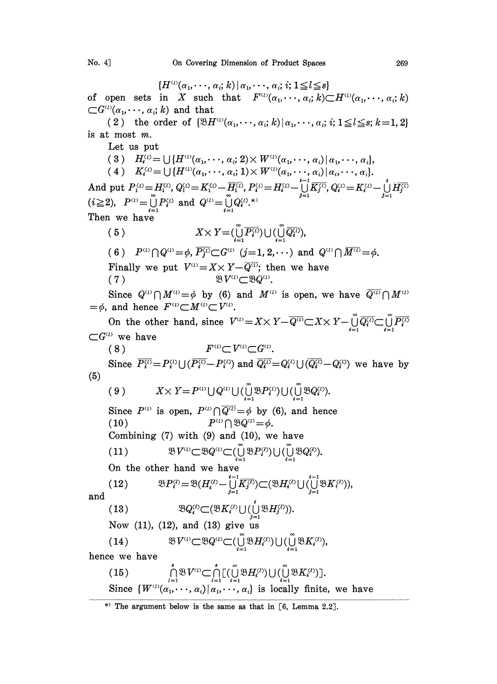${H^{(i)}(\alpha_1, \dots, \alpha_i; k) | \alpha_1, \dots, \alpha_i; i; 1 \leq l \leq s}$ <br>of open sets in X such that  $F^{(i)}(\alpha_1, \dots, \alpha_i; k) \subset H^{(i)}(\alpha_1, \dots, \alpha_i; k)$  $\subset G^{(i)}(\alpha_1,\cdots,\alpha_i;k)$  and that (2) the order of  $\{\mathfrak{B}H^{(1)}(\alpha_1,\cdots,\alpha_i;k)|\alpha_1,\cdots,\alpha_i; i; 1\leq l\leq s; k=1, 2\}$ is at most m. Let us put (3)  $H_i^{(i)} = \bigcup \{ H^{(i)}(\alpha_1, \dots, \alpha_i; 2) \times W^{(i)}(\alpha_1, \dots, \alpha_i) | \alpha_1, \dots, \alpha_i \},\$ (4)  $K_i^{(i)} = \bigcup \{H^{(i)}(\alpha_1, \dots, \alpha_i; 1) \times W^{(i)}(\alpha_1, \dots, \alpha_i) | \alpha_i, \dots, \alpha_i\}.$ And put  $P_1^{(1)} = H_1^{(1)}$ ,  $Q_1^{(1)} = K_1^{(1)} - \overline{H_1^{(1)}}$ ,  $P_1^{(1)} = H_1^{(1)} - \bigcup_{j=1}^{i-1} \overline{K_j^{(1)}}, Q_1^{(1)} = K_i^{(1)} - \bigcup_{j=1}^{i} \overline{H_j^{(1)}}$ <br>( $i \ge 2$ ),  $P^{(1)} = \bigcup_{i=1}^{n} P_i^{(1)}$  and  $Q^{(1)} = \bigcup_{i=1}^{n} Q_i^{(1)}$ .\* Then we have (5)  $X \times Y = (\bigcup_{i=1}^{\infty} \overline{P_i^{(i)}}) \cup (\bigcup_{i=1}^{\infty} \overline{Q_i^{(i)}}),$ 6)  $P^{\omega} \bigcap Q^{\omega} = \phi$ ,  $\overline{P_j^{\omega}} \subset G^{\omega}$  (j=1, 2, ...) and  $Q^{\omega} \bigcap \overline{M^{\omega}} = \phi$ . Finally we put  $V^{\scriptscriptstyle{(1)}}=X\times Y-\overline{Q^{\scriptscriptstyle{(1)}}}$ ; then we have 7)  $\mathcal{B}V^{\mu} \subset \mathcal{B}Q^{\mu}$ . Since  $Q^{(1)} \cap M^{(1)} = \phi$  by (6) and  $M^{(1)}$  is open, we have  $\overline{Q^{(1)}} \cap M^{(1)}$  $=\phi$ , and hence  $F^{\mu\nu} \subset M^{\mu\nu} \subset V^{\mu\nu}$ . On the other hand, since  $V^{(i)} = X \times Y - \overline{Q^{(i)}} \subset X \times Y - \bigcup_{i=1}^{\infty} \overline{Q_i^{(i)}} \subset \bigcup_{i=1}^{\infty} \overline{P_i^i}$  $\subset G^{\scriptscriptstyle (l)}$  we have (8)  $F^{\mu\nu} \subset V^{\mu\nu} \subset G^{\mu\nu}$ . Since  $\overline{P_i^{(i)}}=P_i^{(i)}\cup(\overline{P_i^{(i)}}-P_i^{(i)})$  and  $\overline{Q_i^{(i)}}=Q_i^{(i)}\cup(\overline{Q_i^{(i)}}-Q_i^{(i)})$  we have by (5)  $(9) \hspace{1cm} X \times Y {=} P^{\scriptscriptstyle (1)} \bigcup Q^{\scriptscriptstyle (1)} \bigcup (\bigcup_{i=1}^{\scriptscriptstyle 10} \mathfrak{B} P_i^{\scriptscriptstyle (1)} ) \bigcup (\bigcup_{i=1}^{\scriptscriptstyle 10} \mathfrak{B} Q_i^{\scriptscriptstyle (1)} ).$ Since  $P^{(i)}$  is open,  $P^{(i)} \cap \overline{Q^{(i)}} = \phi$  by (6), and hence (10)<br>(10)  $P^{(i)} \cap \mathfrak{B} Q^{(i)} = \phi$ .  $(10)$ Combining  $(7)$  with  $(9)$  and  $(10)$ , we have  $\mathfrak{B} V^{\scriptscriptstyle (1)} \subset \mathfrak{B} Q^{\scriptscriptstyle (1)} \subset (\bigcup_{i=1}^{\infty} \mathfrak{B} P_{i}^{\scriptscriptstyle (l)}) \cup (\bigcup_{i=1}^{\infty} \mathfrak{B} Q_{i}^{\scriptscriptstyle (l)}).$  $(11)$ On the other hand we have (12)  $\mathfrak{B} P_i^{\langle i \rangle} = \mathfrak{B} (H_i^{\langle i \rangle} - \bigcup_{j=1}^{i-1} \overline{K_j^{\langle i \rangle}}) \subset (\mathfrak{B} H_i^{\langle i \rangle} \bigcup \bigcup_{j=1}^{i-1} \mathfrak{B} K_i^{\langle i \rangle}),$ and (13)  $\mathfrak{B}Q_i^{(l)}\subset (\mathfrak{B}K_i^{(l)}\cup(\bigcup_{j=1}^i\mathfrak{B}H_j^{(l)})).$ Now (11), (12), and (13) give us  $(14) \qquad \qquad {\mathfrak B} V^{\scriptscriptstyle (l)} {\subset} {\mathfrak B} Q^{\scriptscriptstyle (l)} {\subset} (\mathop\cup_{i=1}^{l} {\mathfrak B} H_{i}^{\scriptscriptstyle (l)}) \cup (\mathop\cup_{i=1}^{l} {\mathfrak B} K_{i}^{\scriptscriptstyle (l)}),$ hence we have  $\bigcap_{i=1}^s \mathfrak{B} V^{\scriptscriptstyle (i)} \subset \bigcap_{i=1}^s \bigl[ (\bigcup_{i=1}^s \mathfrak{B} H_i^{\scriptscriptstyle (i)}) \bigcup (\bigcup_{i=1}^s \mathfrak{B} K_i^{\scriptscriptstyle (i)}) \bigr].$  $(15)$ Since  $\{W^{(1)}(\alpha_1,\dots,\alpha_i)|\alpha_1,\dots,\alpha_i\}$  is locally finite, we have

<sup>\*)</sup> The argument below is the same as that in  $[6, Lemma 2.2]$ .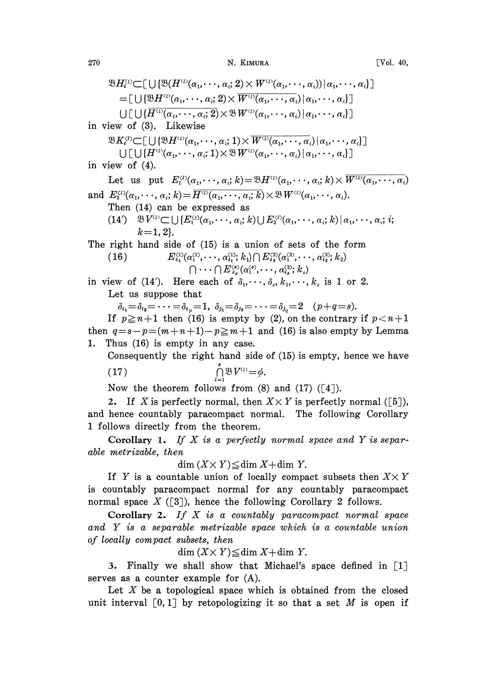```
[Vol. 40,
```

$$
\mathcal{B}H_i^{\omega}\subset[\bigcup\{\mathcal{B}(H^{\omega_0}(\alpha_1,\cdots,\alpha_i,2)\times W^{\omega_1}(\alpha_1,\cdots,\alpha_i)|\alpha_1,\cdots,\alpha_i\}]
$$
\n
$$
=[\bigcup\{\mathcal{B}H^{\omega_0}(\alpha_1,\cdots,\alpha_i,2)\times W^{\omega_0}(\alpha_1,\cdots,\alpha_i)|\alpha_1,\cdots,\alpha_i\}]
$$
\n
$$
[\bigcup\{\bigcup\{\overline{H^{\omega_0}(\alpha_1,\cdots,\alpha_i,2)\times\mathcal{B}W^{\omega_0}(\alpha_1,\cdots,\alpha_i)|\alpha_1,\cdots,\alpha_i\}}\bigcup\{1,1\} \bigcup\{\overline{H^{\omega_0}(\alpha_1,\cdots,\alpha_i,1)\times\mathcal{W}^{\omega_0}(\alpha_1,\cdots,\alpha_i)|\alpha_1,\cdots,\alpha_i\}}\bigcup\{1,1\} \bigcup[\{\overline{H^{\omega_0}(\alpha_1,\cdots,\alpha_i,1)\times\mathcal{B}W^{\omega_0}(\alpha_1,\cdots,\alpha_i)|\alpha_1,\cdots,\alpha_i\}}\bigcup\{1,1\} \bigcup\{1,1\} \bigcup\{1,1\} \bigcup\{1,1\} \bigcup\{1,1\} \bigcup\{1,1\} \bigcup\{1,1\} \bigcup\{1,1\} \bigcup\{1,1\} \bigcup\{1,1\} \bigcup\{1,1\} \bigcup\{1,1\} \bigcup\{1,1\} \bigcup\{1,1\} \bigcup\{1,1\} \bigcup\{1,1\} \bigcup\{1,1\} \bigcup\{1,1\} \bigcup\{1,1\} \bigcup\{1,1\} \bigcup\{1,1\} \bigcup\{1,1\} \bigcup\{1,1\} \bigcup\{1,1\} \bigcup\{1,1\} \bigcup\{1,1\} \bigcup\{1,1\} \bigcup\{1,1\} \bigcup\{1,1\} \bigcup\{1,1\} \bigcup\{1,1\} \bigcup\{1,1\} \bigcup\{1,1\} \bigcup\{1,1\} \bigcup\{1,1\} \bigcup\{1,1\} \bigcup\{1,1\} \bigcup\{1,1\} \bigcup\{1
$$

and hence countably paracompact normal. The following Corollary 1 follows directly from the theorem.

**Corollary 1.** If  $X$  is a perfectly normal space and  $Y$  is separable metrizable, then

 $\dim (X \times Y) \leq \dim X + \dim Y$ .

If Y is a countable union of locally compact subsets then  $X \times Y$ is countably paracompact normal for any countably paracompact normal space  $X([3])$ , hence the following Corollary 2 follows.

Corollary 2. If  $X$  is a countably paracompact normal space and Y is a separable metrizable space which is a countable union of locally compact subsets, then

 $\dim (X \times Y) \leq \dim X + \dim Y$ .

3. Finally we shall show that Michael's space defined in [1] serves as a counter example for (A).

Let  $X$  be a topological space which is obtained from the closed unit interval  $[0,1]$  by retopologizing it so that a set M is open if